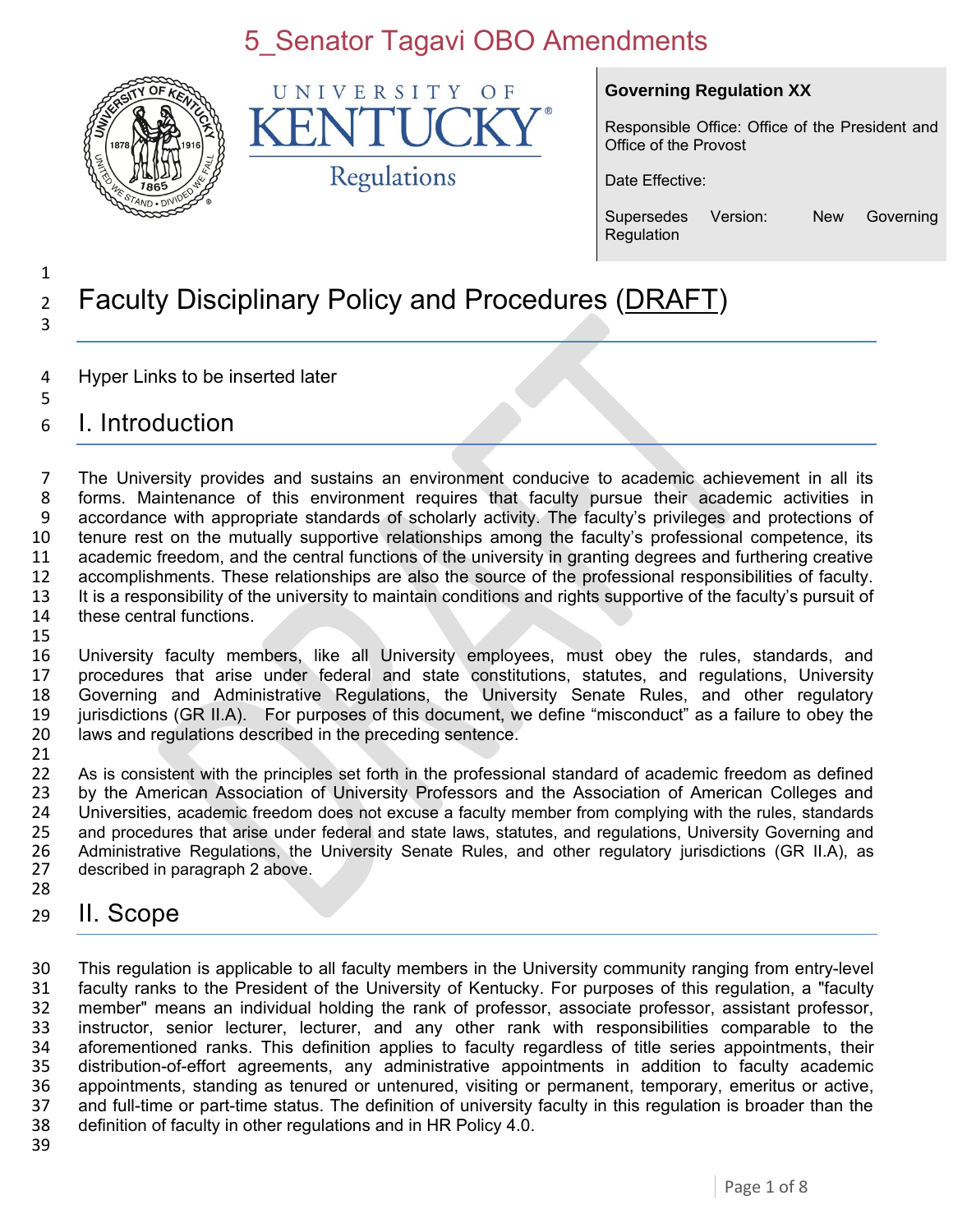

UNIVERSITY  $\bigcirc$  F K Regulations

#### **Governing Regulation XX**

Responsible Office: Office of the President and Office of the Provost

Date Effective:

Supersedes Version: New Governing Regulation

#### Faculty Disciplinary Policy and Procedures (DRAFT)

- Hyper Links to be inserted later
- I. Introduction

 The University provides and sustains an environment conducive to academic achievement in all its forms. Maintenance of this environment requires that faculty pursue their academic activities in accordance with appropriate standards of scholarly activity. The faculty's privileges and protections of tenure rest on the mutually supportive relationships among the faculty's professional competence, its academic freedom, and the central functions of the university in granting degrees and furthering creative accomplishments. These relationships are also the source of the professional responsibilities of faculty. It is a responsibility of the university to maintain conditions and rights supportive of the faculty's pursuit of these central functions. 

 University faculty members, like all University employees, must obey the rules, standards, and procedures that arise under federal and state constitutions, statutes, and regulations, University Governing and Administrative Regulations, the University Senate Rules, and other regulatory jurisdictions (GR II.A). For purposes of this document, we define "misconduct" as a failure to obey the laws and regulations described in the preceding sentence.

21<br>22 As is consistent with the principles set forth in the professional standard of academic freedom as defined by the American Association of University Professors and the Association of American Colleges and 24 Universities, academic freedom does not excuse a faculty member from complying with the rules, standards<br>25 and procedures that arise under federal and state laws, statutes, and regulations, University Governing and 25 and procedures that arise under federal and state laws, statutes, and regulations, University Governing and<br>26 Administrative Regulations, the University Senate Rules, and other regulatory jurisdictions (GR IIA), as 26 Administrative Regulations, the University Senate Rules, and other regulatory jurisdictions (GR II.A), as 27 described in paragraph 2 above. described in paragraph 2 above. 

II. Scope

 This regulation is applicable to all faculty members in the University community ranging from entry-level faculty ranks to the President of the University of Kentucky. For purposes of this regulation, a "faculty member" means an individual holding the rank of professor, associate professor, assistant professor, instructor, senior lecturer, lecturer, and any other rank with responsibilities comparable to the aforementioned ranks. This definition applies to faculty regardless of title series appointments, their 35 distribution-of-effort agreements, any administrative appointments in addition to faculty academic<br>36 appointments, standing as tenured or untenured, visiting or permanent, temporary, emeritus or active, appointments, standing as tenured or untenured, visiting or permanent, temporary, emeritus or active, and full-time or part-time status. The definition of university faculty in this regulation is broader than the definition of faculty in other regulations and in HR Policy 4.0.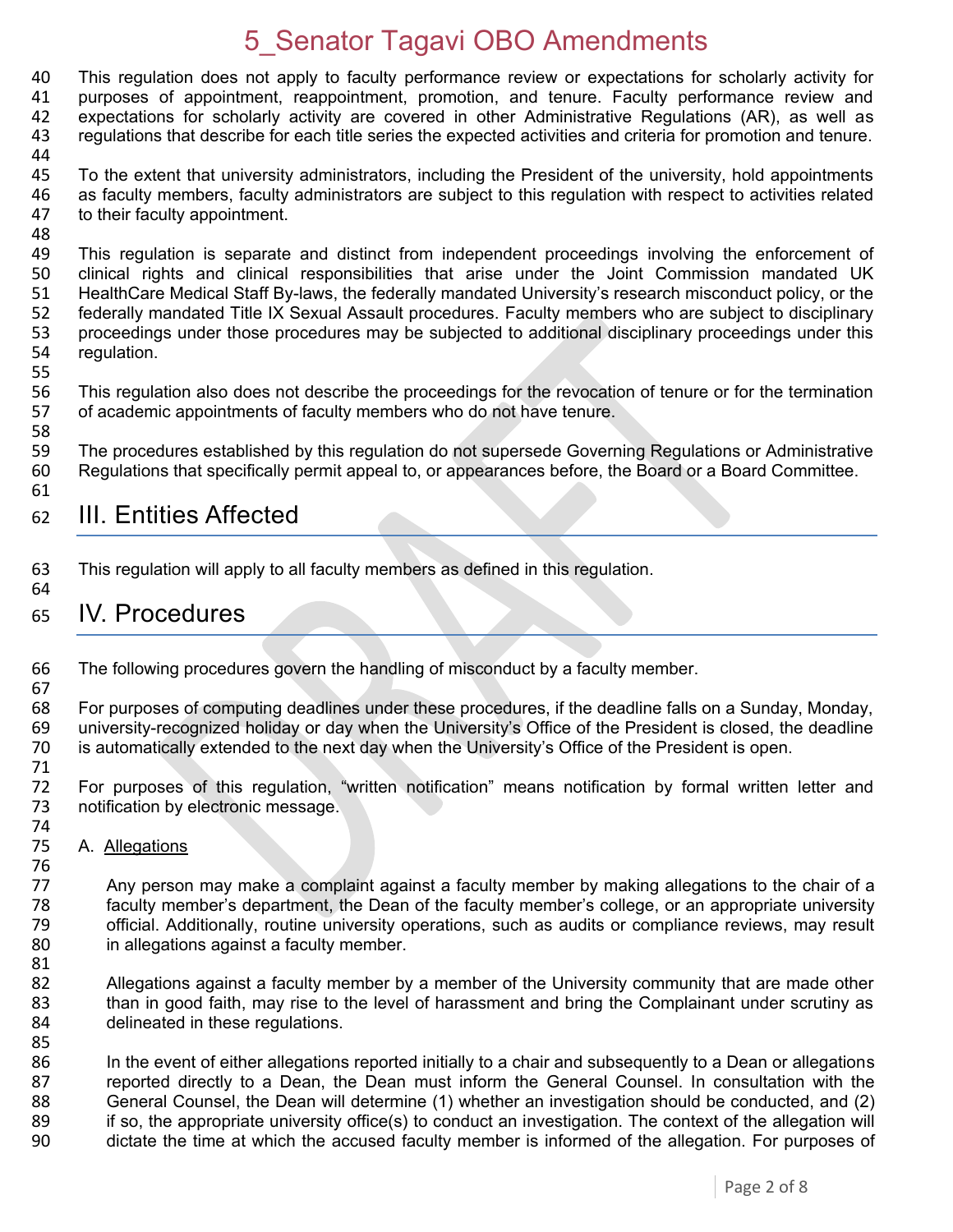This regulation does not apply to faculty performance review or expectations for scholarly activity for purposes of appointment, reappointment, promotion, and tenure. Faculty performance review and expectations for scholarly activity are covered in other Administrative Regulations (AR), as well as regulations that describe for each title series the expected activities and criteria for promotion and tenure.

45 To the extent that university administrators, including the President of the university, hold appointments 46 as faculty members, faculty administrators are subject to this regulation with respect to activities related 47 to their faculty appointment. to their faculty appointment.

48<br>49 This regulation is separate and distinct from independent proceedings involving the enforcement of 50 clinical rights and clinical responsibilities that arise under the Joint Commission mandated UK 51 HealthCare Medical Staff By-laws, the federally mandated University's research misconduct policy, or the 52 federally mandated Title IX Sexual Assault procedures. Faculty members who are subject to disciplinary 53 proceedings under those procedures may be subjected to additional disciplinary proceedings under this 54 requidation. regulation.

55

58

44

56 This regulation also does not describe the proceedings for the revocation of tenure or for the termination<br>57 of academic appointments of faculty members who do not have tenure. of academic appointments of faculty members who do not have tenure.

59 The procedures established by this regulation do not supersede Governing Regulations or Administrative 60 Regulations that specifically permit appeal to, or appearances before, the Board or a Board Committee. 61

#### 62 III. Entities Affected

- 63 This regulation will apply to all faculty members as defined in this regulation.
- 64

85

65 IV. Procedures

66 The following procedures govern the handling of misconduct by a faculty member. 67

68 For purposes of computing deadlines under these procedures, if the deadline falls on a Sunday, Monday, 69 university-recognized holiday or day when the University's Office of the President is closed, the deadline university-recognized holiday or day when the University's Office of the President is closed, the deadline 70 is automatically extended to the next day when the University's Office of the President is open.

71 72 For purposes of this regulation, "written notification" means notification by formal written letter and 73 notification by electronic message. notification by electronic message.

74<br>75 A. Allegations

76<br>77 Any person may make a complaint against a faculty member by making allegations to the chair of a 78 faculty member's department, the Dean of the faculty member's college, or an appropriate university 79 official. Additionally, routine university operations, such as audits or compliance reviews, may result 80 in allegations against a faculty member.

81<br>82 82 Allegations against a faculty member by a member of the University community that are made other<br>83 than in good faith, may rise to the level of harassment and bring the Complainant under scrutiny as than in good faith, may rise to the level of harassment and bring the Complainant under scrutiny as 84 delineated in these regulations.

86 In the event of either allegations reported initially to a chair and subsequently to a Dean or allegations 87 reported directly to a Dean, the Dean must inform the General Counsel. In consultation with the 88 General Counsel, the Dean will determine (1) whether an investigation should be conducted, and (2)<br>89 if so, the appropriate university office(s) to conduct an investigation. The context of the allegation will 89 if so, the appropriate university office(s) to conduct an investigation. The context of the allegation will<br>80 dictate the time at which the accused faculty member is informed of the allegation. For purposes of dictate the time at which the accused faculty member is informed of the allegation. For purposes of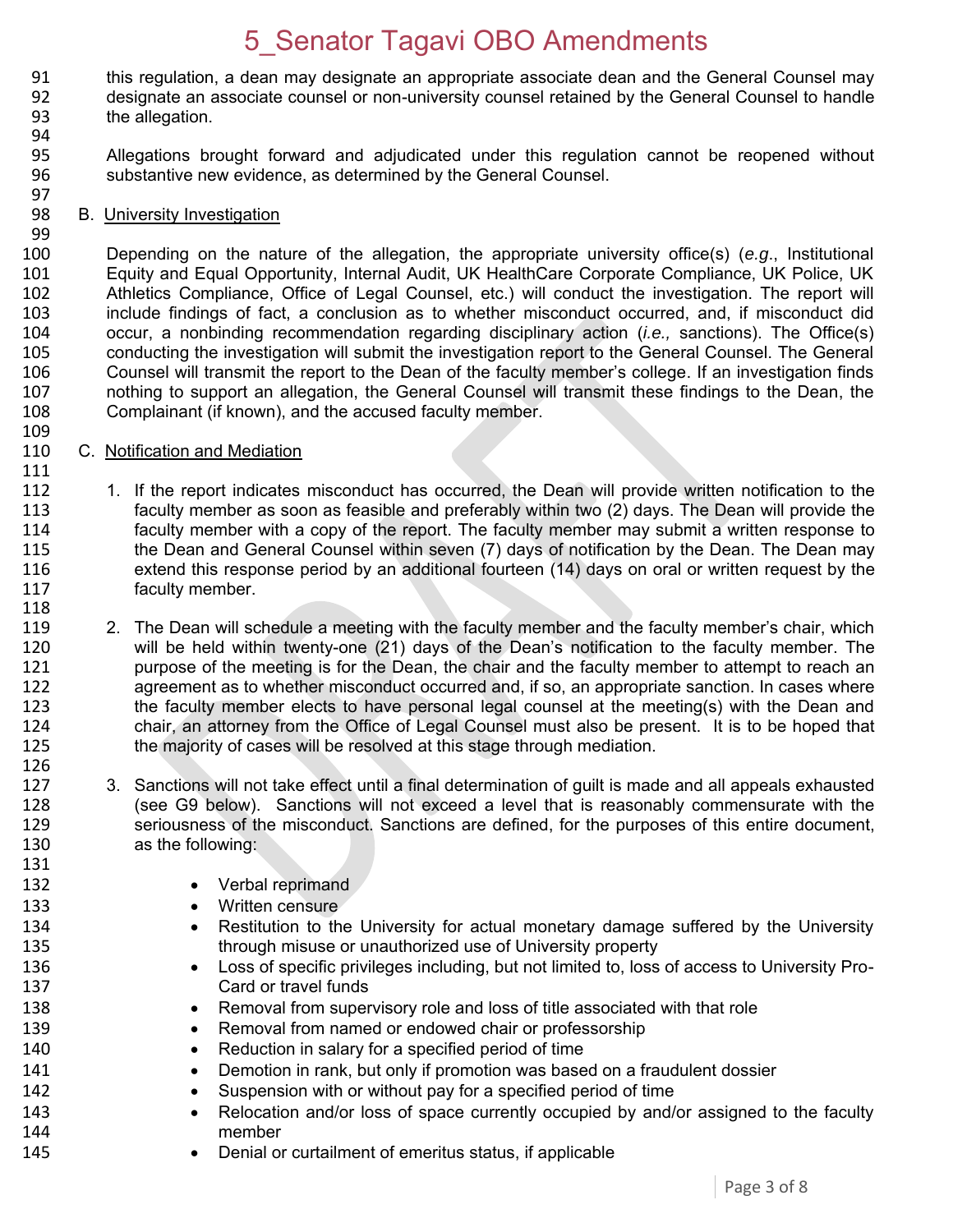- 91 this regulation, a dean may designate an appropriate associate dean and the General Counsel may<br>92 designate an associate counsel or non-university counsel retained by the General Counsel to handle 92 designate an associate counsel or non-university counsel retained by the General Counsel to handle<br>93 the allegation. the allegation.
- 94 95 Allegations brought forward and adjudicated under this regulation cannot be reopened without 96 substantive new evidence, as determined by the General Counsel.
	- 97<br>98 B. University Investigation

99

109

111

118

126

131

 Depending on the nature of the allegation, the appropriate university office(s) (*e.g*., Institutional Equity and Equal Opportunity, Internal Audit, UK HealthCare Corporate Compliance, UK Police, UK Athletics Compliance, Office of Legal Counsel, etc.) will conduct the investigation. The report will include findings of fact, a conclusion as to whether misconduct occurred, and, if misconduct did occur, a nonbinding recommendation regarding disciplinary action (*i.e.,* sanctions). The Office(s) 105 conducting the investigation will submit the investigation report to the General Counsel. The General<br>106 Counsel will transmit the report to the Dean of the faculty member's college. If an investigation finds Counsel will transmit the report to the Dean of the faculty member's college. If an investigation finds 107 nothing to support an allegation, the General Counsel will transmit these findings to the Dean, the 108 complainant (if known), and the accused faculty member. Complainant (if known), and the accused faculty member.

- 110 C. Notification and Mediation
- 112 1. If the report indicates misconduct has occurred, the Dean will provide written notification to the 113 faculty member as soon as feasible and preferably within two (2) days. The Dean will provide the<br>114 faculty member with a copy of the report. The faculty member may submit a written response to 114 faculty member with a copy of the report. The faculty member may submit a written response to<br>115 the Dean and General Counsel within seven (7) days of notification by the Dean. The Dean may the Dean and General Counsel within seven (7) days of notification by the Dean. The Dean may 116 extend this response period by an additional fourteen (14) days on oral or written request by the 117 faculty member.
- 119 2. The Dean will schedule a meeting with the faculty member and the faculty member's chair, which<br>120 will be held within twenty-one (21) days of the Dean's notification to the faculty member. The 120 will be held within twenty-one (21) days of the Dean's notification to the faculty member. The 121 correspondent over the meeting is for the Dean, the chair and the faculty member to attempt to reach an 121 purpose of the meeting is for the Dean, the chair and the faculty member to attempt to reach an<br>122 an agreement as to whether misconduct occurred and, if so, an appropriate sanction. In cases where agreement as to whether misconduct occurred and, if so, an appropriate sanction. In cases where 123 the faculty member elects to have personal legal counsel at the meeting(s) with the Dean and 124 chair, an attorney from the Office of Legal Counsel must also be present. It is to be hoped that 125 the majority of cases will be resolved at this stage through mediation. the majority of cases will be resolved at this stage through mediation.
- 127 3. Sanctions will not take effect until a final determination of guilt is made and all appeals exhausted 128 (see G9 below). Sanctions will not exceed a level that is reasonably commensurate with the 129 seriousness of the misconduct. Sanctions are defined, for the purposes of this entire document, 130 as the following:
- 132 **•** Verbal reprimand
- 133 **Written censure**
- 134 **•** Restitution to the University for actual monetary damage suffered by the University 135 through misuse or unauthorized use of University property
- 136 **Loss of specific privileges including, but not limited to, loss of access to University Pro-**137 Card or travel funds
- 138 **••** Removal from supervisory role and loss of title associated with that role
- 139 **Removal from named or endowed chair or professorship**
- 140 Reduction in salary for a specified period of time
- 141 **••** Demotion in rank, but only if promotion was based on a fraudulent dossier
- 142 Suspension with or without pay for a specified period of time
- 143 
Relocation and/or loss of space currently occupied by and/or assigned to the faculty<br>
144 member
- 145 **•** Denial or curtailment of emeritus status, if applicable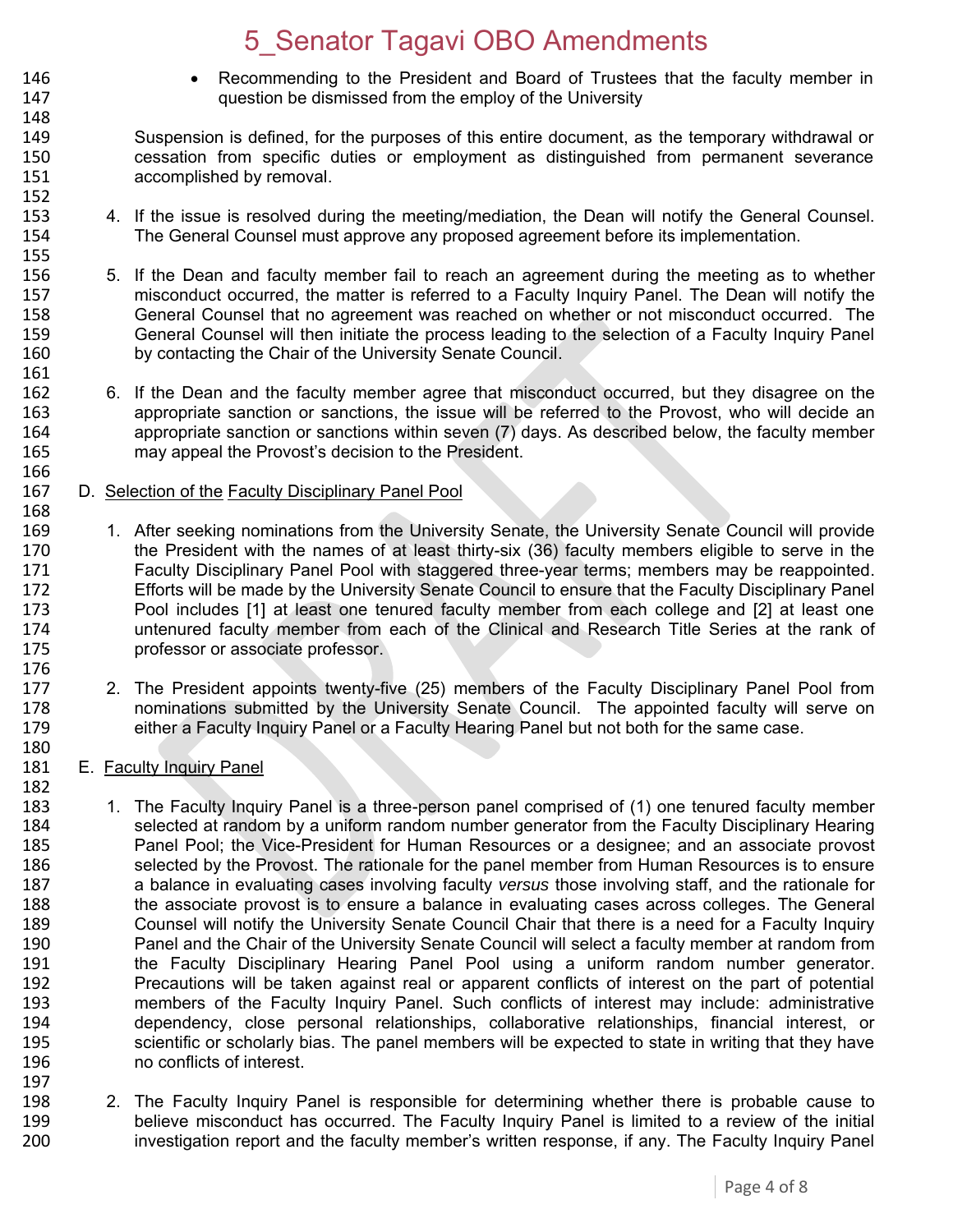- 146 Recommending to the President and Board of Trustees that the faculty member in 147 question be dismissed from the employ of the University
- 149 Suspension is defined, for the purposes of this entire document, as the temporary withdrawal or 150 cessation from specific duties or employment as distinguished from permanent severance 151 accomplished by removal. 152<br>153
- 4. If the issue is resolved during the meeting/mediation, the Dean will notify the General Counsel. 154 The General Counsel must approve any proposed agreement before its implementation.
- 155<br>156 5. If the Dean and faculty member fail to reach an agreement during the meeting as to whether 157 misconduct occurred, the matter is referred to a Faculty Inquiry Panel. The Dean will notify the 158 General Counsel that no agreement was reached on whether or not misconduct occurred. The<br>159 General Counsel will then initiate the process leading to the selection of a Faculty Inquiry Panel 159 General Counsel will then initiate the process leading to the selection of a Faculty Inquiry Panel<br>160 by contacting the Chair of the University Senate Council. by contacting the Chair of the University Senate Council.
- 162 6. If the Dean and the faculty member agree that misconduct occurred, but they disagree on the<br>163 **163** appropriate sanction or sanctions, the issue will be referred to the Provost, who will decide an appropriate sanction or sanctions, the issue will be referred to the Provost, who will decide an 164 appropriate sanction or sanctions within seven (7) days. As described below, the faculty member 165 may appeal the Provost's decision to the President.
- 166<br>167 D. Selection of the Faculty Disciplinary Panel Pool
- 168<br>169 1. After seeking nominations from the University Senate, the University Senate Council will provide 170 the President with the names of at least thirty-six (36) faculty members eligible to serve in the 171 Faculty Disciplinary Panel Pool with staggered three-year terms; members may be reappointed.<br>172 Ffforts will be made by the University Senate Council to ensure that the Faculty Disciplinary Panel Efforts will be made by the University Senate Council to ensure that the Faculty Disciplinary Panel 173 Pool includes [1] at least one tenured faculty member from each college and [2] at least one 174 untenured faculty member from each of the Clinical and Research Title Series at the rank of 175 professor or associate professor. 176<br>177
- 2. The President appoints twenty-five (25) members of the Faculty Disciplinary Panel Pool from 178 nominations submitted by the University Senate Council. The appointed faculty will serve on 179 either a Faculty Inquiry Panel or a Faculty Hearing Panel but not both for the same case.
- 181 E. Faculty Inquiry Panel

148

161<br>162

- 182<br>183 1. The Faculty Inquiry Panel is a three-person panel comprised of (1) one tenured faculty member 184 selected at random by a uniform random number generator from the Faculty Disciplinary Hearing<br>185 **1888** Panel Pool: the Vice-President for Human Resources or a designee: and an associate provost 185 Panel Pool; the Vice-President for Human Resources or a designee; and an associate provost 186 selected by the Provost. The rationale for the panel member from Human Resources is to ensure 187 a balance in evaluating cases involving faculty *versus* those involving staff, and the rationale for 188 the associate provost is to ensure a balance in evaluating cases across colleges. The General 189 Counsel will notify the University Senate Council Chair that there is a need for a Faculty Inquiry<br>190 Panel and the Chair of the University Senate Council will select a faculty member at random from Panel and the Chair of the University Senate Council will select a faculty member at random from 191 the Faculty Disciplinary Hearing Panel Pool using a uniform random number generator. 192 Precautions will be taken against real or apparent conflicts of interest on the part of potential<br>193 **IED Entior Concilists** of the Faculty Inquiry Panel. Such conflicts of interest may include: administrative members of the Faculty Inquiry Panel. Such conflicts of interest may include: administrative 194 dependency, close personal relationships, collaborative relationships, financial interest, or 195 scientific or scholarly bias. The panel members will be expected to state in writing that they have say to poorflicts of interest. no conflicts of interest. 197
- 198 2. The Faculty Inquiry Panel is responsible for determining whether there is probable cause to<br>199 believe misconduct has occurred. The Faculty Inquiry Panel is limited to a review of the initial 199 believe misconduct has occurred. The Faculty Inquiry Panel is limited to a review of the initial<br>100 hovestigation report and the faculty member's written response, if any. The Faculty Inquiry Panel investigation report and the faculty member's written response, if any. The Faculty Inquiry Panel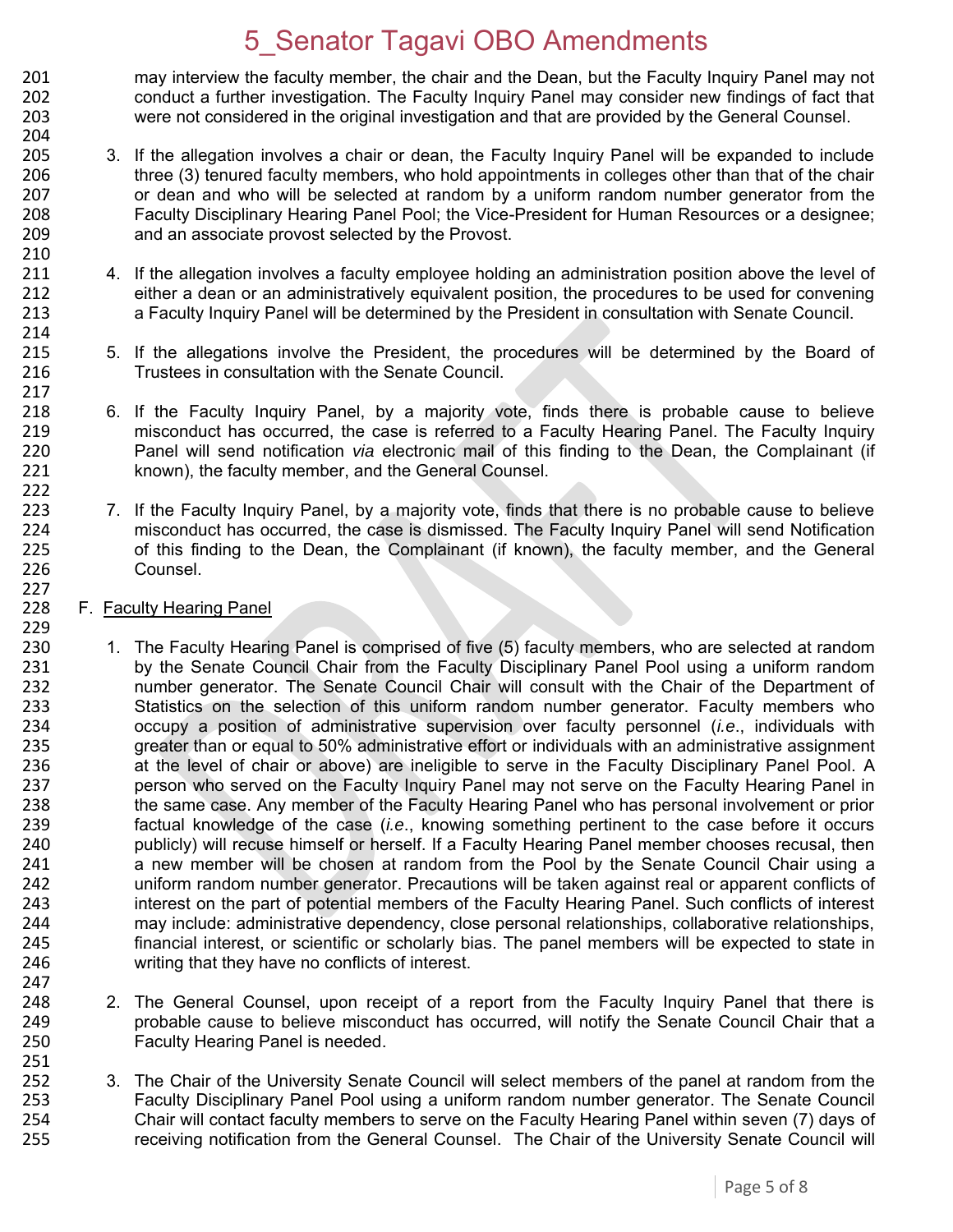201 may interview the faculty member, the chair and the Dean, but the Faculty Inquiry Panel may not<br>202 conduct a further investigation. The Faculty Inquiry Panel may consider new findings of fact that 202 conduct a further investigation. The Faculty Inquiry Panel may consider new findings of fact that 203 were not considered in the original investigation and that are provided by the General Counsel. 204

- 205 3. If the allegation involves a chair or dean, the Faculty Inquiry Panel will be expanded to include 206 three (3) tenured faculty members, who hold appointments in colleges other than that of the chair 207 or dean and who will be selected at random by a uniform random number generator from the<br>208 **19. Eaculty Disciplinary Hearing Panel Pool**: the Vice-President for Human Resources or a designee: 208 Faculty Disciplinary Hearing Panel Pool; the Vice-President for Human Resources or a designee; 209 and an associate provost selected by the Provost.
- 211 4. If the allegation involves a faculty employee holding an administration position above the level of 212 either a dean or an administratively equivalent position, the procedures to be used for convening 213 a Faculty Inquiry Panel will be determined by the President in consultation with Senate Council.
- 215 5. If the allegations involve the President, the procedures will be determined by the Board of 216 Trustees in consultation with the Senate Council.
- 6. If the Faculty Inquiry Panel, by a majority vote, finds there is probable cause to believe 219 misconduct has occurred, the case is referred to a Faculty Hearing Panel. The Faculty Inquiry 220 Panel will send notification *via* electronic mail of this finding to the Dean, the Complainant (if 221 known), the faculty member, and the General Counsel.
- 223 7. If the Faculty Inquiry Panel, by a majority vote, finds that there is no probable cause to believe<br>224 misconduct has occurred, the case is dismissed. The Faculty Inquiry Panel will send Notification 224 misconduct has occurred, the case is dismissed. The Faculty Inquiry Panel will send Notification<br>225 of this finding to the Dean, the Complainant (if known), the faculty member, and the General 225 of this finding to the Dean, the Complainant (if known), the faculty member, and the General 226 Counsel.
- 228 F. Faculty Hearing Panel

210

214

217<br>218

222

227

247<br>248

- 229<br>230 230 1. The Faculty Hearing Panel is comprised of five (5) faculty members, who are selected at random<br>231 by the Senate Council Chair from the Faculty Disciplinary Panel Pool using a uniform random 231 by the Senate Council Chair from the Faculty Disciplinary Panel Pool using a uniform random<br>232 http://www.panel Council Chair will consult with the Chair of the Department of number generator. The Senate Council Chair will consult with the Chair of the Department of 233 Statistics on the selection of this uniform random number generator. Faculty members who 234 occupy a position of administrative supervision over faculty personnel (*i.e*., individuals with 235 greater than or equal to 50% administrative effort or individuals with an administrative assignment 236 at the level of chair or above) are ineligible to serve in the Faculty Disciplinary Panel Pool. A 237 person who served on the Faculty Inquiry Panel may not serve on the Faculty Hearing Panel in 238 the same case. Any member of the Faculty Hearing Panel who has personal involvement or prior<br>239 factual knowledge of the case (*i.e.*, knowing something pertinent to the case before it occurs factual knowledge of the case *(i.e.*, knowing something pertinent to the case before it occurs 240 publicly) will recuse himself or herself. If a Faculty Hearing Panel member chooses recusal, then<br>241 **an anew member will be chosen at random** from the Pool by the Senate Council Chair using a a new member will be chosen at random from the Pool by the Senate Council Chair using a 242 uniform random number generator. Precautions will be taken against real or apparent conflicts of 243 interest on the part of potential members of the Faculty Hearing Panel. Such conflicts of interest 244 may include: administrative dependency, close personal relationships, collaborative relationships. 244 may include: administrative dependency, close personal relationships, collaborative relationships,<br>245 financial interest, or scientific or scholarly bias. The panel members will be expected to state in financial interest, or scientific or scholarly bias. The panel members will be expected to state in 246 writing that they have no conflicts of interest.
- 2. The General Counsel, upon receipt of a report from the Faculty Inquiry Panel that there is 249 probable cause to believe misconduct has occurred, will notify the Senate Council Chair that a 250 Faculty Hearing Panel is needed.
- 252 3. The Chair of the University Senate Council will select members of the panel at random from the 253 Faculty Disciplinary Panel Pool using a uniform random number generator. The Senate Council 254 Chair will contact faculty members to serve on the Faculty Hearing Panel within seven (7) days of 255 receiving notification from the General Counsel. The Chair of the University Senate Council will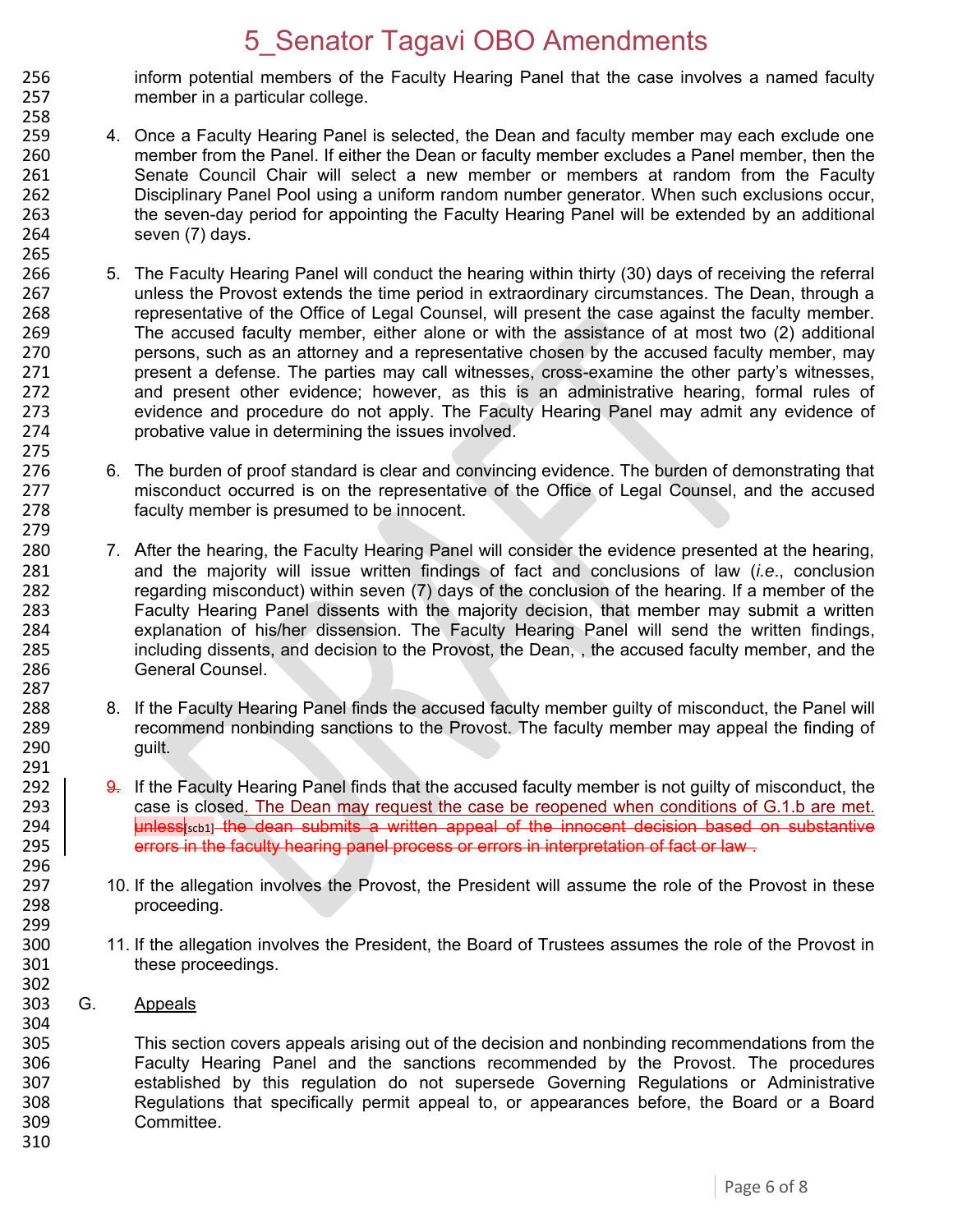- 256 inform potential members of the Faculty Hearing Panel that the case involves a named faculty<br>257 member in a particular college. member in a particular college.
- 258<br>259 4. Once a Faculty Hearing Panel is selected, the Dean and faculty member may each exclude one 260 member from the Panel. If either the Dean or faculty member excludes a Panel member, then the 261 Senate Council Chair will select a new member or members at random from the Faculty 262 Disciplinary Panel Pool using a uniform random number generator. When such exclusions occur, 263 the seven-day period for appointing the Faculty Hearing Panel will be extended by an additional 264 seven (7) days.
- 266 5. The Faculty Hearing Panel will conduct the hearing within thirty (30) days of receiving the referral 267 unless the Provost extends the time period in extraordinary circumstances. The Dean, through a 268 representative of the Office of Legal Counsel, will present the case against the faculty member. 269 The accused faculty member, either alone or with the assistance of at most two (2) additional<br>270 serving persons, such as an attorney and a representative chosen by the accused faculty member, may 270 persons, such as an attorney and a representative chosen by the accused faculty member, may<br>271 present a defense. The parties may call witnesses, cross-examine the other party's witnesses. 271 present a defense. The parties may call witnesses, cross-examine the other party's witnesses, 272 and present other evidence; however, as this is an administrative hearing, formal rules of 273 273 evidence and procedure do not apply. The Faculty Hearing Panel may admit any evidence of 274 probative value in determining the issues involved.
- 276 6. The burden of proof standard is clear and convincing evidence. The burden of demonstrating that 277 misconduct occurred is on the representative of the Office of Legal Counsel, and the accused 277 misconduct occurred is on the representative of the Office of Legal Counsel, and the accused 278 faculty member is presumed to be innocent.
- 280 7. After the hearing, the Faculty Hearing Panel will consider the evidence presented at the hearing,<br>281 **1991 1281** and the maiority will issue written findings of fact and conclusions of law *(i.e., conclusion*) 281 and the majority will issue written findings of fact and conclusions of law (*i.e*., conclusion 282 regarding misconduct) within seven (7) days of the conclusion of the hearing. If a member of the<br>283 Faculty Hearing Panel dissents with the maiority decision, that member may submit a written Faculty Hearing Panel dissents with the majority decision, that member may submit a written 284 explanation of his/her dissension. The Faculty Hearing Panel will send the written findings, 285 including dissents, and decision to the Provost, the Dean, , the accused faculty member, and the 286 General Counsel. 287
- 288 8. If the Faculty Hearing Panel finds the accused faculty member guilty of misconduct, the Panel will<br>289 creammend nonbinding sanctions to the Provost. The faculty member may appeal the finding of 289 recommend nonbinding sanctions to the Provost. The faculty member may appeal the finding of 290 guilt.
- 9. If the Faculty Hearing Panel finds that the accused faculty member is not guilty of misconduct, the 293 case is closed. The Dean may request the case be reopened when conditions of G.1.b are met. 294 **unless**  $\left| \right|$  the dean submits a written appeal of the innocent decision based on substantive 295 errors in the faculty hearing panel process or errors in interpretation of fact or law.
- 10. If the allegation involves the Provost, the President will assume the role of the Provost in these 298 proceeding.
- 300 11. If the allegation involves the President, the Board of Trustees assumes the role of the Provost in 301 these proceedings.
- 302<br>303 G. Appeals

265

275<br>276

279

291<br>292

296<br>297

299

304<br>305 305 This section covers appeals arising out of the decision and nonbinding recommendations from the<br>306 Taculty Hearing Panel and the sanctions recommended by the Provost. The procedures 306 Faculty Hearing Panel and the sanctions recommended by the Provost. The procedures<br>307 established by this regulation do not supersede Governing Regulations or Administrative 307 established by this regulation do not supersede Governing Regulations or Administrative 308 Regulations that specifically permit appeal to, or appearances before, the Board or a Board 309 Committee. 310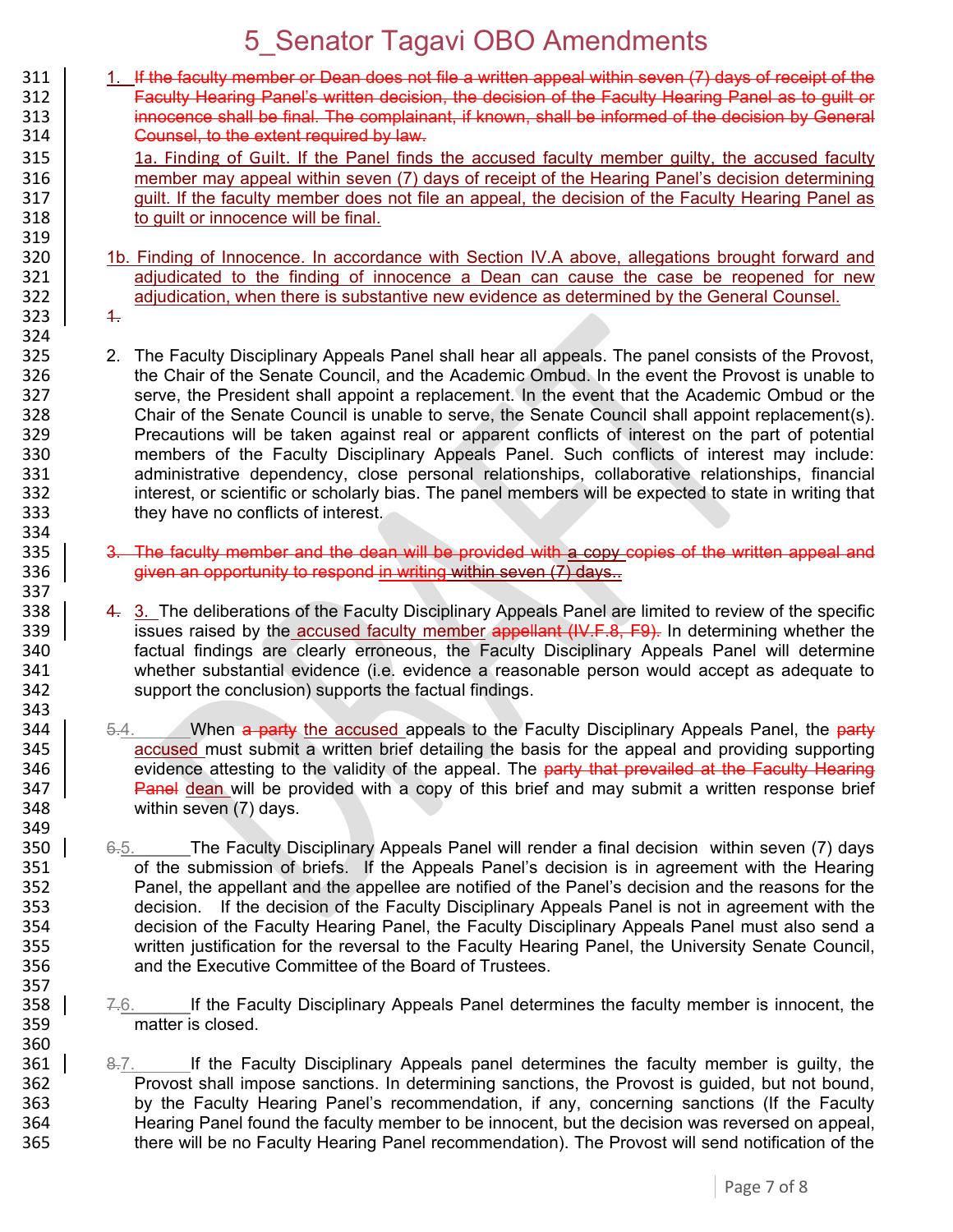| 311<br>312<br>313<br>314                                           | 1. If the faculty member or Dean does not file a written appeal within seven (7) days of receipt of the<br>Faculty Hearing Panel's written decision, the decision of the Faculty Hearing Panel as to guilt or<br>innocence shall be final. The complainant, if known, shall be informed of the decision by General<br>Counsel, to the extent required by law.                                                                                                                                                                                                                                                                                                                                                                                                                                                                                                      |  |
|--------------------------------------------------------------------|--------------------------------------------------------------------------------------------------------------------------------------------------------------------------------------------------------------------------------------------------------------------------------------------------------------------------------------------------------------------------------------------------------------------------------------------------------------------------------------------------------------------------------------------------------------------------------------------------------------------------------------------------------------------------------------------------------------------------------------------------------------------------------------------------------------------------------------------------------------------|--|
| 315<br>316<br>317<br>318<br>319                                    | 1a. Finding of Guilt. If the Panel finds the accused faculty member guilty, the accused faculty<br>member may appeal within seven (7) days of receipt of the Hearing Panel's decision determining<br>guilt. If the faculty member does not file an appeal, the decision of the Faculty Hearing Panel as<br>to quilt or innocence will be final.                                                                                                                                                                                                                                                                                                                                                                                                                                                                                                                    |  |
| 320                                                                | 1b. Finding of Innocence. In accordance with Section IV.A above, allegations brought forward and                                                                                                                                                                                                                                                                                                                                                                                                                                                                                                                                                                                                                                                                                                                                                                   |  |
| 321<br>322                                                         | adjudicated to the finding of innocence a Dean can cause the case be reopened for new<br>adjudication, when there is substantive new evidence as determined by the General Counsel.                                                                                                                                                                                                                                                                                                                                                                                                                                                                                                                                                                                                                                                                                |  |
| 323<br>324                                                         | $\ddagger$                                                                                                                                                                                                                                                                                                                                                                                                                                                                                                                                                                                                                                                                                                                                                                                                                                                         |  |
| 325<br>326<br>327<br>328<br>329<br>330<br>331<br>332<br>333<br>334 | 2. The Faculty Disciplinary Appeals Panel shall hear all appeals. The panel consists of the Provost,<br>the Chair of the Senate Council, and the Academic Ombud. In the event the Provost is unable to<br>serve, the President shall appoint a replacement. In the event that the Academic Ombud or the<br>Chair of the Senate Council is unable to serve, the Senate Council shall appoint replacement(s).<br>Precautions will be taken against real or apparent conflicts of interest on the part of potential<br>members of the Faculty Disciplinary Appeals Panel. Such conflicts of interest may include:<br>administrative dependency, close personal relationships, collaborative relationships, financial<br>interest, or scientific or scholarly bias. The panel members will be expected to state in writing that<br>they have no conflicts of interest. |  |
| 335<br>336<br>337                                                  | 3. The faculty member and the dean will be provided with a copy copies of the written appeal and<br>given an opportunity to respond in writing within seven (7) days                                                                                                                                                                                                                                                                                                                                                                                                                                                                                                                                                                                                                                                                                               |  |
| 338<br>339<br>340<br>341<br>342<br>343                             | 4. 3. The deliberations of the Faculty Disciplinary Appeals Panel are limited to review of the specific<br>issues raised by the accused faculty member appellant (IV.F.8, F9). In determining whether the<br>factual findings are clearly erroneous, the Faculty Disciplinary Appeals Panel will determine<br>whether substantial evidence (i.e. evidence a reasonable person would accept as adequate to<br>support the conclusion) supports the factual findings.                                                                                                                                                                                                                                                                                                                                                                                                |  |
| 344<br>345<br>346<br>347<br>348<br>349                             | When a party the accused appeals to the Faculty Disciplinary Appeals Panel, the party<br>5.4.<br>accused must submit a written brief detailing the basis for the appeal and providing supporting<br>evidence attesting to the validity of the appeal. The party that prevailed at the Faculty Hearing<br>Panel dean will be provided with a copy of this brief and may submit a written response brief<br>within seven (7) days.                                                                                                                                                                                                                                                                                                                                                                                                                                   |  |
| 350<br>351<br>352<br>353<br>354<br>355<br>356                      | The Faculty Disciplinary Appeals Panel will render a final decision within seven (7) days<br>6.5.<br>of the submission of briefs. If the Appeals Panel's decision is in agreement with the Hearing<br>Panel, the appellant and the appellee are notified of the Panel's decision and the reasons for the<br>decision. If the decision of the Faculty Disciplinary Appeals Panel is not in agreement with the<br>decision of the Faculty Hearing Panel, the Faculty Disciplinary Appeals Panel must also send a<br>written justification for the reversal to the Faculty Hearing Panel, the University Senate Council,<br>and the Executive Committee of the Board of Trustees.                                                                                                                                                                                     |  |
| 357<br>358<br>359                                                  | If the Faculty Disciplinary Appeals Panel determines the faculty member is innocent, the<br><del>7.</del> 6.<br>matter is closed.                                                                                                                                                                                                                                                                                                                                                                                                                                                                                                                                                                                                                                                                                                                                  |  |

 $\frac{360}{361}$ 8.7. If the Faculty Disciplinary Appeals panel determines the faculty member is guilty, the Provost shall impose sanctions. In determining sanctions, the Provost is guided, but not bound, by the Faculty Hearing Panel's recommendation, if any, concerning sanctions (If the Faculty Hearing Panel found the faculty member to be innocent, but the decision was reversed on appeal, there will be no Faculty Hearing Panel recommendation). The Provost will send notification of the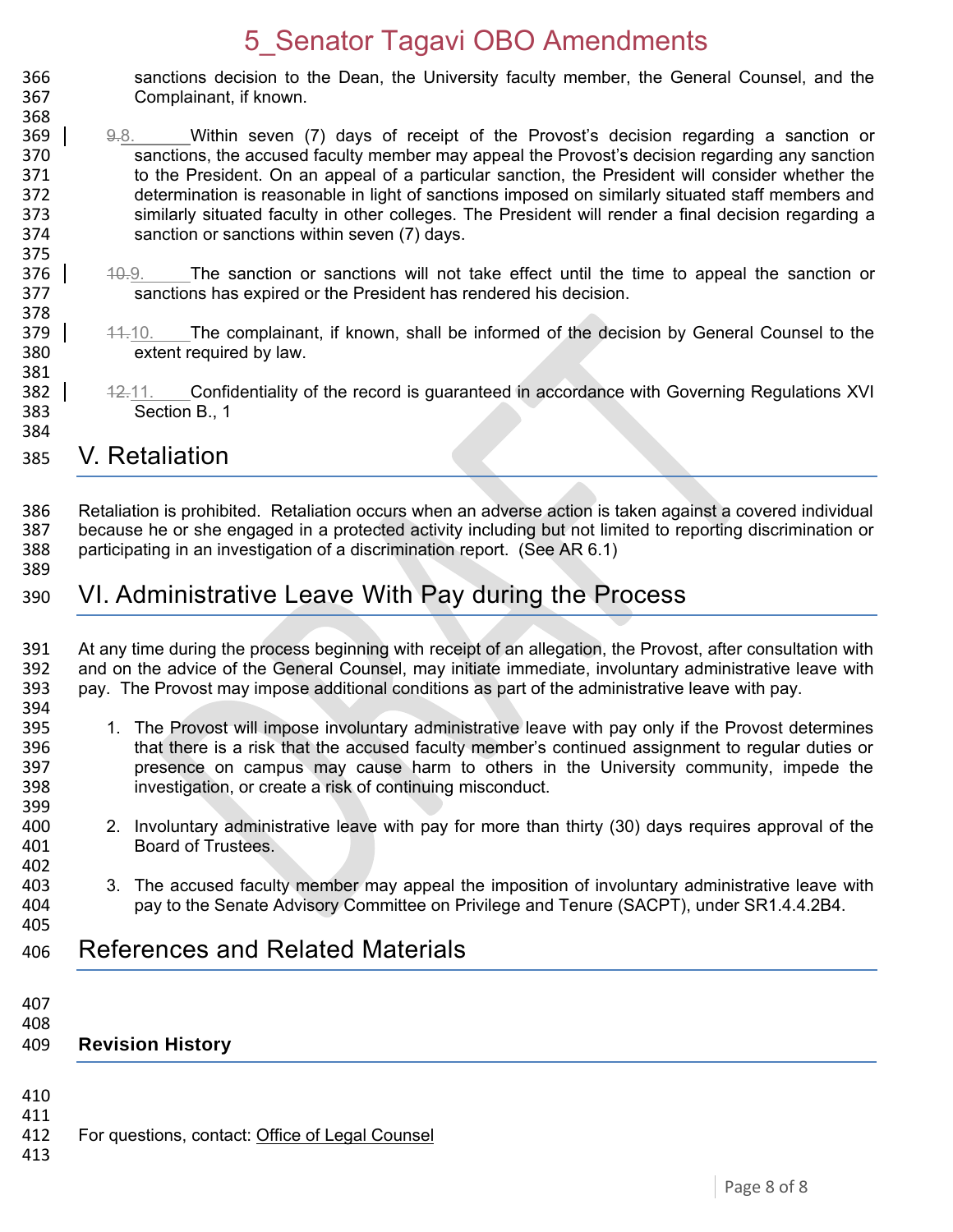- 366 sanctions decision to the Dean, the University faculty member, the General Counsel, and the 367 Complainant, if known.
- 369  $\vert$  9.8. Within seven (7) days of receipt of the Provost's decision regarding a sanction or 370 sanctions, the accused faculty member may appeal the Provost's decision regarding any sanction 371 to the President. On an appeal of a particular sanction, the President will consider whether the 372 determination is reasonable in light of sanctions imposed on similarly situated staff members and 373 similarly situated faculty in other colleges. The President will render a final decision regarding a<br>374 sanction or sanctions within seven (7) days. sanction or sanctions within seven (7) days.
- $376$  |  $40.9$ . The sanction or sanctions will not take effect until the time to appeal the sanction or 377 sanctions has expired or the President has rendered his decision.
- 379 | 44.10. The complainant, if known, shall be informed of the decision by General Counsel to the 380 extent required by law.
- 382 12.11. Confidentiality of the record is guaranteed in accordance with Governing Regulations XVI Section B., 1

#### 385 V. Retaliation

386 Retaliation is prohibited. Retaliation occurs when an adverse action is taken against a covered individual 387 because he or she engaged in a protected activity including but not limited to reporting discrimination or 388 participating in an investigation of a discrimination report. (See AR 6.1)

389

368

375

378

381

384

#### 390 VI. Administrative Leave With Pay during the Process

391 At any time during the process beginning with receipt of an allegation, the Provost, after consultation with<br>392 and on the advice of the General Counsel, may initiate immediate, involuntary administrative leave with 392 and on the advice of the General Counsel, may initiate immediate, involuntary administrative leave with 393 pay.<br>393 pay, The Provost may impose additional conditions as part of the administrative leave with pay. pay. The Provost may impose additional conditions as part of the administrative leave with pay.

394<br>395

399

- 1. The Provost will impose involuntary administrative leave with pay only if the Provost determines 396 that there is a risk that the accused faculty member's continued assignment to regular duties or 397 presence on campus may cause harm to others in the University community, impede the 398 investigation, or create a risk of continuing misconduct.
- 400 2. Involuntary administrative leave with pay for more than thirty (30) days requires approval of the 401 Board of Trustees.
- 402<br>403 3. The accused faculty member may appeal the imposition of involuntary administrative leave with 404 pay to the Senate Advisory Committee on Privilege and Tenure (SACPT), under SR1.4.4.2B4. 405

#### 406 References and Related Materials

407 408 409 **Revision History** 

- 412 For questions, contact: [Office of Legal Counsel](mailto:LegalRegs@uky.edu)
- 413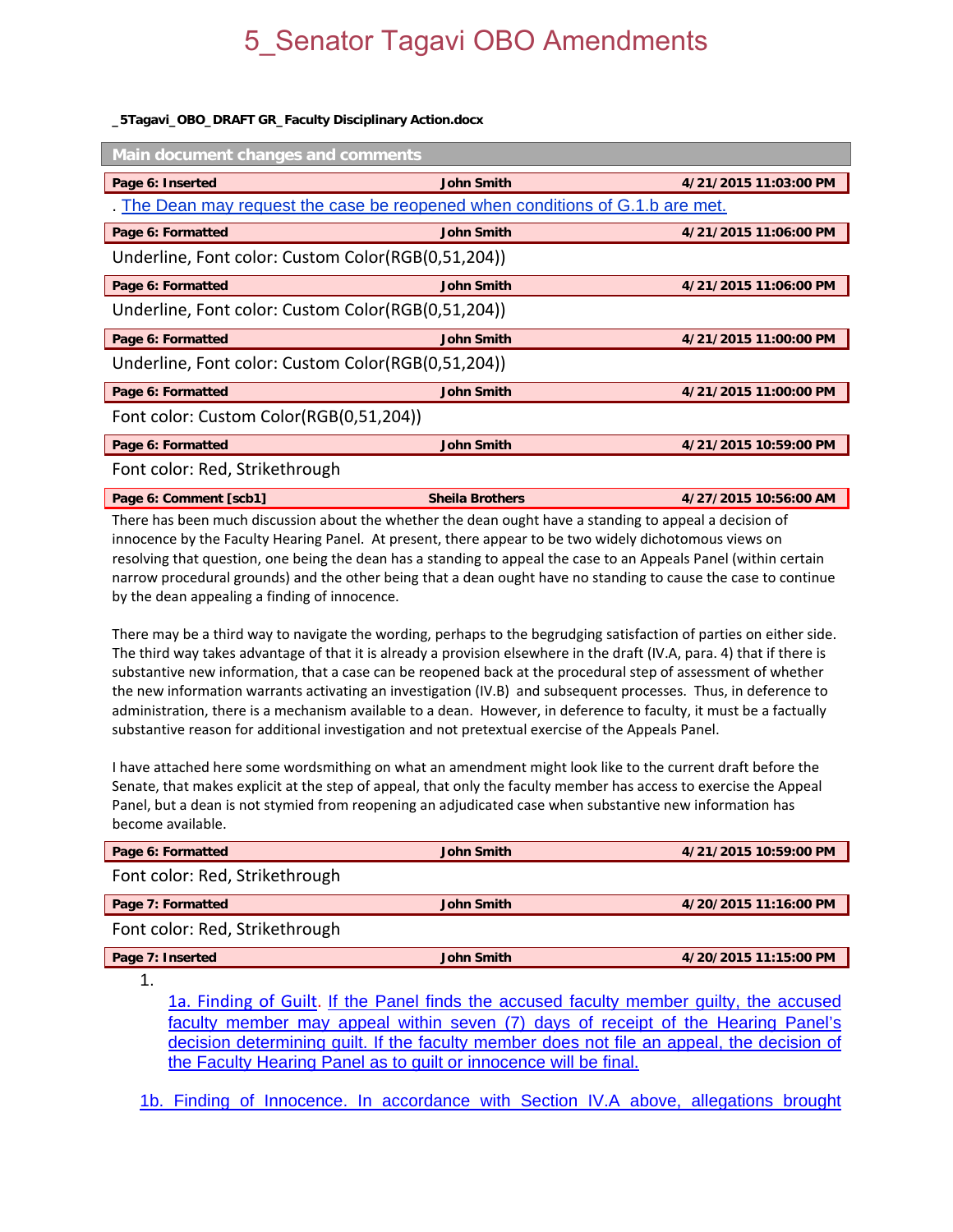#### **\_5Tagavi\_OBO\_DRAFT GR\_Faculty Disciplinary Action.docx**

| <b>Main document changes and comments</b>                                   |                   |                       |  |  |  |
|-----------------------------------------------------------------------------|-------------------|-----------------------|--|--|--|
| Page 6: Inserted                                                            | <b>John Smith</b> | 4/21/2015 11:03:00 PM |  |  |  |
| The Dean may request the case be reopened when conditions of G.1.b are met. |                   |                       |  |  |  |
| Page 6: Formatted                                                           | <b>John Smith</b> | 4/21/2015 11:06:00 PM |  |  |  |
| Underline, Font color: Custom Color(RGB(0,51,204))                          |                   |                       |  |  |  |
| Page 6: Formatted                                                           | <b>John Smith</b> | 4/21/2015 11:06:00 PM |  |  |  |
| Underline, Font color: Custom Color(RGB(0,51,204))                          |                   |                       |  |  |  |
| Page 6: Formatted                                                           | <b>John Smith</b> | 4/21/2015 11:00:00 PM |  |  |  |
| Underline, Font color: Custom Color(RGB(0,51,204))                          |                   |                       |  |  |  |
| Page 6: Formatted                                                           | <b>John Smith</b> | 4/21/2015 11:00:00 PM |  |  |  |
| Font color: Custom Color(RGB(0,51,204))                                     |                   |                       |  |  |  |
| Page 6: Formatted                                                           | <b>John Smith</b> | 4/21/2015 10:59:00 PM |  |  |  |
| Font color: Red, Strikethrough                                              |                   |                       |  |  |  |

**Page 6: Comment [scb1] Sheila Brothers 4/27/2015 10:56:00 AM** 

There has been much discussion about the whether the dean ought have a standing to appeal a decision of innocence by the Faculty Hearing Panel. At present, there appear to be two widely dichotomous views on resolving that question, one being the dean has a standing to appeal the case to an Appeals Panel (within certain narrow procedural grounds) and the other being that a dean ought have no standing to cause the case to continue by the dean appealing a finding of innocence.

There may be a third way to navigate the wording, perhaps to the begrudging satisfaction of parties on either side. The third way takes advantage of that it is already a provision elsewhere in the draft (IV.A, para. 4) that if there is substantive new information, that a case can be reopened back at the procedural step of assessment of whether the new information warrants activating an investigation (IV.B) and subsequent processes. Thus, in deference to administration, there is a mechanism available to a dean. However, in deference to faculty, it must be a factually substantive reason for additional investigation and not pretextual exercise of the Appeals Panel.

I have attached here some wordsmithing on what an amendment might look like to the current draft before the Senate, that makes explicit at the step of appeal, that only the faculty member has access to exercise the Appeal Panel, but a dean is not stymied from reopening an adjudicated case when substantive new information has become available.

| <b>John Smith</b>                                                                                                                                                                                              | 4/21/2015 10:59:00 PM |  |  |  |
|----------------------------------------------------------------------------------------------------------------------------------------------------------------------------------------------------------------|-----------------------|--|--|--|
| Font color: Red, Strikethrough                                                                                                                                                                                 |                       |  |  |  |
| <b>John Smith</b>                                                                                                                                                                                              | 4/20/2015 11:16:00 PM |  |  |  |
| Font color: Red, Strikethrough                                                                                                                                                                                 |                       |  |  |  |
| <b>John Smith</b>                                                                                                                                                                                              | 4/20/2015 11:15:00 PM |  |  |  |
|                                                                                                                                                                                                                |                       |  |  |  |
| 1a. Finding of Guilt. If the Panel finds the accused faculty member guilty, the accused<br>formation as each consecutive control institute records. 77\ alone of the catalog failed at the categories DepartMe |                       |  |  |  |
|                                                                                                                                                                                                                |                       |  |  |  |

faculty member may appeal within seven (7) days of receipt of the Hearing Panel's decision determining guilt. If the faculty member does not file an appeal, the decision of the Faculty Hearing Panel as to guilt or innocence will be final.

1b. Finding of Innocence. In accordance with Section IV.A above, allegations brought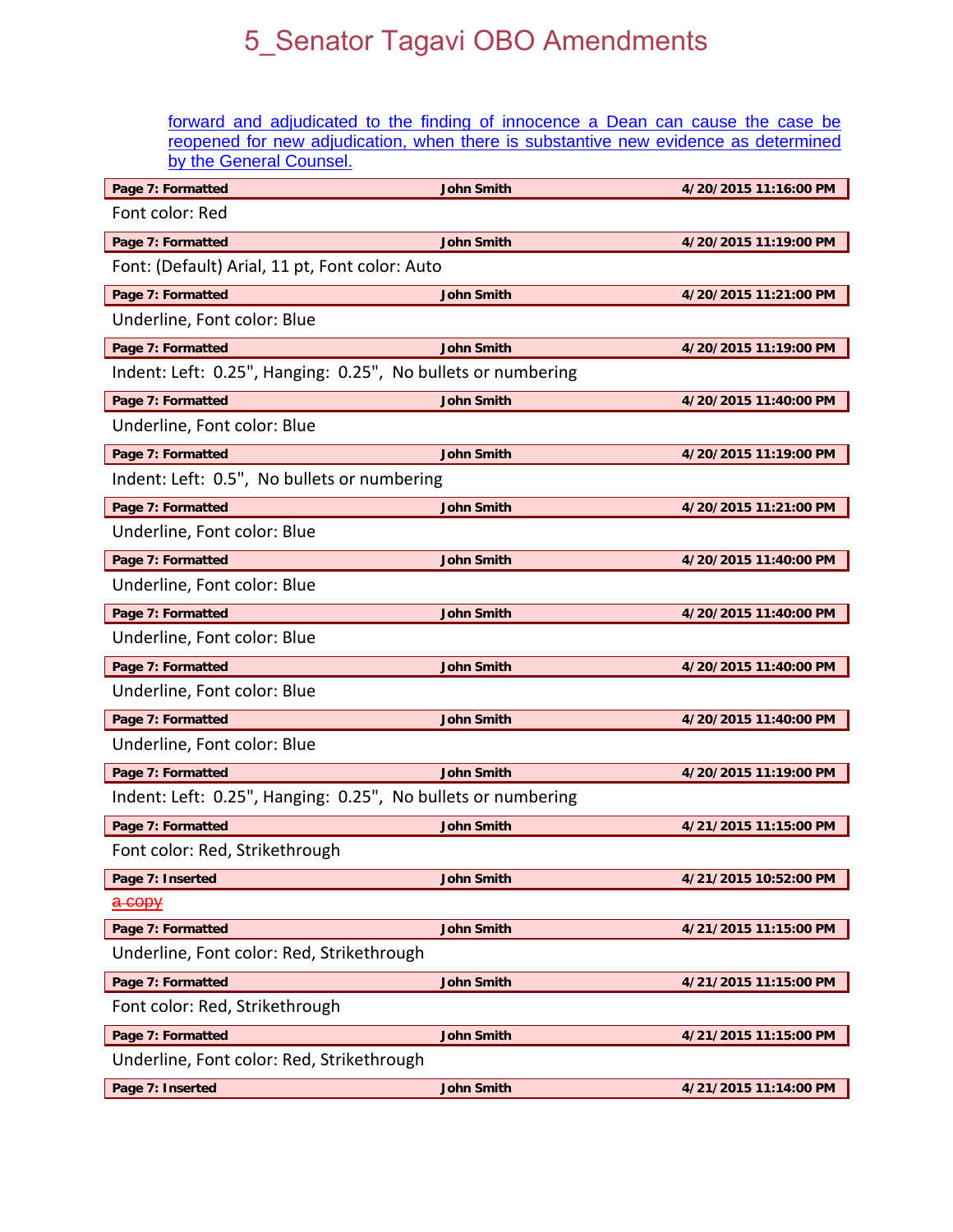forward and adjudicated to the finding of innocence a Dean can cause the case be reopened for new adjudication, when there is substantive new evidence as determined by the General Counsel.

| Page 7: Formatted                                            | <b>John Smith</b> | 4/20/2015 11:16:00 PM |  |  |
|--------------------------------------------------------------|-------------------|-----------------------|--|--|
| Font color: Red                                              |                   |                       |  |  |
| Page 7: Formatted                                            | <b>John Smith</b> | 4/20/2015 11:19:00 PM |  |  |
| Font: (Default) Arial, 11 pt, Font color: Auto               |                   |                       |  |  |
| Page 7: Formatted                                            | <b>John Smith</b> | 4/20/2015 11:21:00 PM |  |  |
| Underline, Font color: Blue                                  |                   |                       |  |  |
| Page 7: Formatted                                            | <b>John Smith</b> | 4/20/2015 11:19:00 PM |  |  |
| Indent: Left: 0.25", Hanging: 0.25", No bullets or numbering |                   |                       |  |  |
| Page 7: Formatted                                            | <b>John Smith</b> | 4/20/2015 11:40:00 PM |  |  |
| Underline, Font color: Blue                                  |                   |                       |  |  |
| Page 7: Formatted                                            | <b>John Smith</b> | 4/20/2015 11:19:00 PM |  |  |
| Indent: Left: 0.5", No bullets or numbering                  |                   |                       |  |  |
| Page 7: Formatted                                            | <b>John Smith</b> | 4/20/2015 11:21:00 PM |  |  |
| Underline, Font color: Blue                                  |                   |                       |  |  |
| Page 7: Formatted                                            | <b>John Smith</b> | 4/20/2015 11:40:00 PM |  |  |
| Underline, Font color: Blue                                  |                   |                       |  |  |
| Page 7: Formatted                                            | <b>John Smith</b> | 4/20/2015 11:40:00 PM |  |  |
| Underline, Font color: Blue                                  |                   |                       |  |  |
| Page 7: Formatted                                            | <b>John Smith</b> | 4/20/2015 11:40:00 PM |  |  |
| Underline, Font color: Blue                                  |                   |                       |  |  |
| Page 7: Formatted                                            | <b>John Smith</b> | 4/20/2015 11:40:00 PM |  |  |
| Underline, Font color: Blue                                  |                   |                       |  |  |
| Page 7: Formatted                                            | <b>John Smith</b> | 4/20/2015 11:19:00 PM |  |  |
| Indent: Left: 0.25", Hanging: 0.25", No bullets or numbering |                   |                       |  |  |
| Page 7: Formatted                                            | <b>John Smith</b> | 4/21/2015 11:15:00 PM |  |  |
| Font color: Red, Strikethrough                               |                   |                       |  |  |
| Page 7: Inserted                                             | <b>John Smith</b> | 4/21/2015 10:52:00 PM |  |  |
| <del>a copy</del>                                            |                   |                       |  |  |
| Page 7: Formatted                                            | <b>John Smith</b> | 4/21/2015 11:15:00 PM |  |  |
| Underline, Font color: Red, Strikethrough                    |                   |                       |  |  |
| Page 7: Formatted                                            | <b>John Smith</b> | 4/21/2015 11:15:00 PM |  |  |
| Font color: Red, Strikethrough                               |                   |                       |  |  |
| Page 7: Formatted                                            | <b>John Smith</b> | 4/21/2015 11:15:00 PM |  |  |
| Underline, Font color: Red, Strikethrough                    |                   |                       |  |  |
| Page 7: Inserted                                             | <b>John Smith</b> | 4/21/2015 11:14:00 PM |  |  |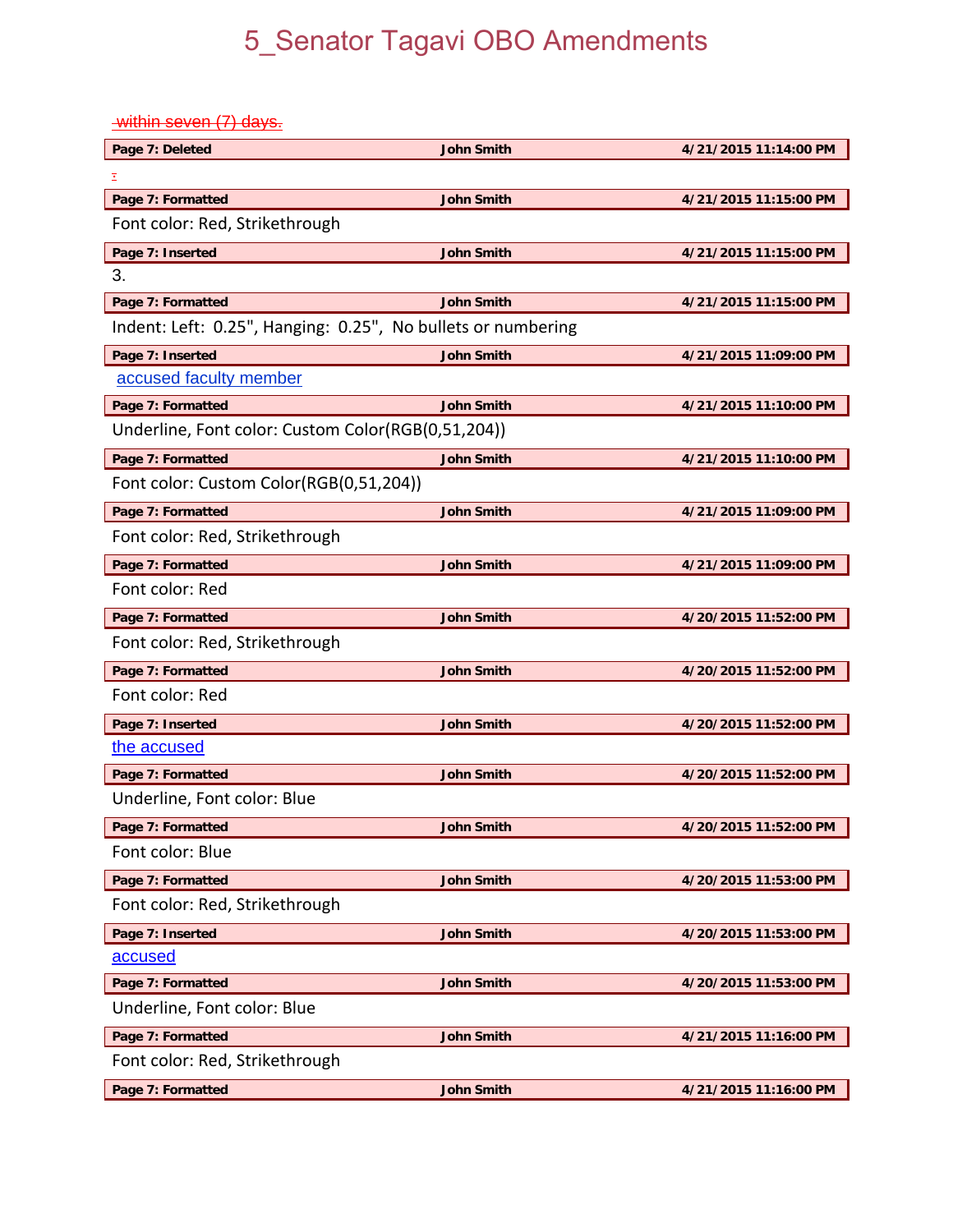within seven (7) days.

| Page 7: Deleted                                              | <b>John Smith</b> | 4/21/2015 11:14:00 PM |  |  |
|--------------------------------------------------------------|-------------------|-----------------------|--|--|
| Ξ                                                            |                   |                       |  |  |
| Page 7: Formatted                                            | <b>John Smith</b> | 4/21/2015 11:15:00 PM |  |  |
| Font color: Red, Strikethrough                               |                   |                       |  |  |
| Page 7: Inserted                                             | <b>John Smith</b> | 4/21/2015 11:15:00 PM |  |  |
| 3.                                                           |                   |                       |  |  |
| Page 7: Formatted                                            | <b>John Smith</b> | 4/21/2015 11:15:00 PM |  |  |
| Indent: Left: 0.25", Hanging: 0.25", No bullets or numbering |                   |                       |  |  |
| Page 7: Inserted                                             | <b>John Smith</b> | 4/21/2015 11:09:00 PM |  |  |
| accused faculty member                                       |                   |                       |  |  |
| Page 7: Formatted                                            | <b>John Smith</b> | 4/21/2015 11:10:00 PM |  |  |
| Underline, Font color: Custom Color(RGB(0,51,204))           |                   |                       |  |  |
| Page 7: Formatted                                            | <b>John Smith</b> | 4/21/2015 11:10:00 PM |  |  |
| Font color: Custom Color(RGB(0,51,204))                      |                   |                       |  |  |
| Page 7: Formatted                                            | <b>John Smith</b> | 4/21/2015 11:09:00 PM |  |  |
| Font color: Red, Strikethrough                               |                   |                       |  |  |
| Page 7: Formatted                                            | <b>John Smith</b> | 4/21/2015 11:09:00 PM |  |  |
| Font color: Red                                              |                   |                       |  |  |
| Page 7: Formatted                                            | <b>John Smith</b> | 4/20/2015 11:52:00 PM |  |  |
| Font color: Red, Strikethrough                               |                   |                       |  |  |
| Page 7: Formatted                                            | <b>John Smith</b> | 4/20/2015 11:52:00 PM |  |  |
| Font color: Red                                              |                   |                       |  |  |
| Page 7: Inserted                                             | <b>John Smith</b> | 4/20/2015 11:52:00 PM |  |  |
| the accused                                                  |                   |                       |  |  |
| Page 7: Formatted                                            | <b>John Smith</b> | 4/20/2015 11:52:00 PM |  |  |
| Underline, Font color: Blue                                  |                   |                       |  |  |
| Page 7: Formatted                                            | <b>John Smith</b> | 4/20/2015 11:52:00 PM |  |  |
| Font color: Blue                                             |                   |                       |  |  |
| Page 7: Formatted                                            | <b>John Smith</b> | 4/20/2015 11:53:00 PM |  |  |
| Font color: Red, Strikethrough                               |                   |                       |  |  |
| Page 7: Inserted                                             | <b>John Smith</b> | 4/20/2015 11:53:00 PM |  |  |
| accused                                                      |                   |                       |  |  |
| Page 7: Formatted                                            | <b>John Smith</b> | 4/20/2015 11:53:00 PM |  |  |
| Underline, Font color: Blue                                  |                   |                       |  |  |
| Page 7: Formatted                                            | <b>John Smith</b> | 4/21/2015 11:16:00 PM |  |  |
| Font color: Red, Strikethrough                               |                   |                       |  |  |
| Page 7: Formatted                                            | <b>John Smith</b> | 4/21/2015 11:16:00 PM |  |  |